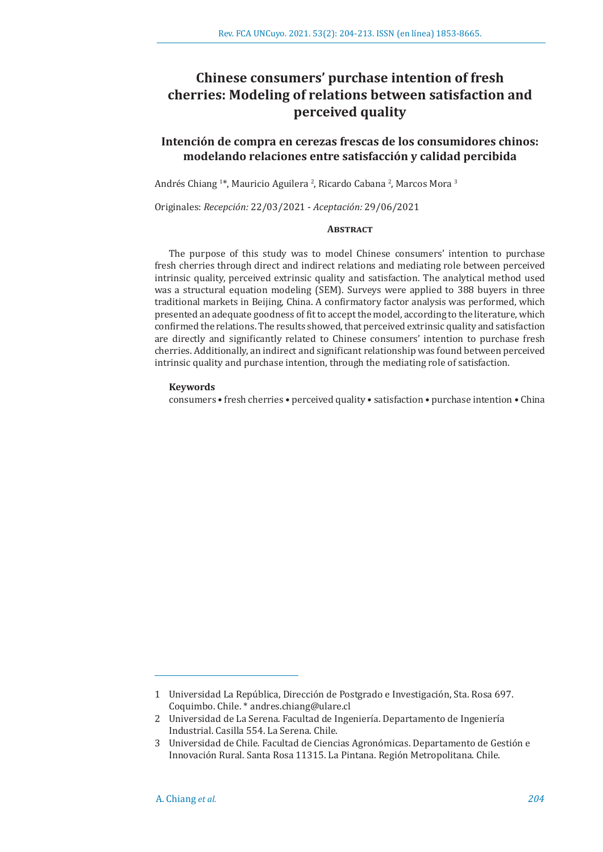# **Chinese consumers' purchase intention of fresh cherries: Modeling of relations between satisfaction and perceived quality**

## **Intención de compra en cerezas frescas de los consumidores chinos: modelando relaciones entre satisfacción y calidad percibida**

Andrés Chiang 1\*, Mauricio Aguilera <sup>2</sup>, Ricardo Cabana <sup>2</sup>, Marcos Mora <sup>3</sup>

Originales: *Recepción:* 22/03/2021 - *Aceptación:* 29/06/2021

## **Abstract**

The purpose of this study was to model Chinese consumers' intention to purchase fresh cherries through direct and indirect relations and mediating role between perceived intrinsic quality, perceived extrinsic quality and satisfaction. The analytical method used was a structural equation modeling (SEM). Surveys were applied to 388 buyers in three traditional markets in Beijing, China. A confirmatory factor analysis was performed, which presented an adequate goodness of fit to accept the model, according to the literature, which confirmed the relations. The results showed, that perceived extrinsic quality and satisfaction are directly and significantly related to Chinese consumers' intention to purchase fresh cherries. Additionally, an indirect and significant relationship was found between perceived intrinsic quality and purchase intention, through the mediating role of satisfaction.

#### **Keywords**

consumers • fresh cherries • perceived quality • satisfaction • purchase intention • China

<sup>1</sup> Universidad La República, Dirección de Postgrado e Investigación, Sta. Rosa 697. Coquimbo. Chile. \* andres.chiang@ulare.cl

<sup>2</sup> Universidad de La Serena. Facultad de Ingeniería. Departamento de Ingeniería Industrial. Casilla 554. La Serena. Chile.

<sup>3</sup> Universidad de Chile. Facultad de Ciencias Agronómicas. Departamento de Gestión e Innovación Rural. Santa Rosa 11315. La Pintana. Región Metropolitana. Chile.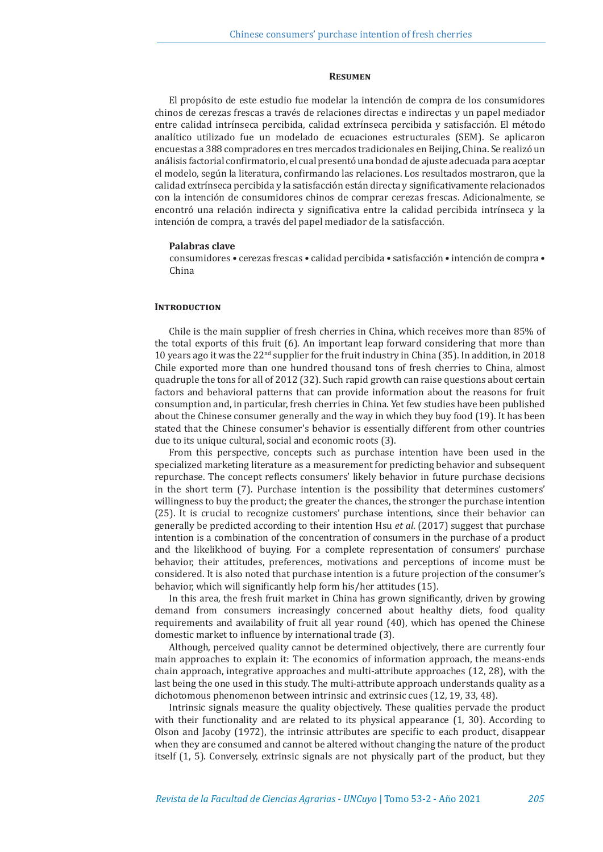#### **Resumen**

El propósito de este estudio fue modelar la intención de compra de los consumidores chinos de cerezas frescas a través de relaciones directas e indirectas y un papel mediador entre calidad intrínseca percibida, calidad extrínseca percibida y satisfacción. El método analítico utilizado fue un modelado de ecuaciones estructurales (SEM). Se aplicaron encuestas a 388 compradores en tres mercados tradicionales en Beijing, China. Se realizó un análisis factorial confirmatorio, el cual presentó una bondad de ajuste adecuada para aceptar el modelo, según la literatura, confirmando las relaciones. Los resultados mostraron, que la calidad extrínseca percibida y la satisfacción están directa y significativamente relacionados con la intención de consumidores chinos de comprar cerezas frescas. Adicionalmente, se encontró una relación indirecta y significativa entre la calidad percibida intrínseca y la intención de compra, a través del papel mediador de la satisfacción.

#### **Palabras clave**

consumidores • cerezas frescas • calidad percibida • satisfacción • intención de compra • China

## **INTRODUCTION**

Chile is the main supplier of fresh cherries in China, which receives more than 85% of the total exports of this fruit (6). An important leap forward considering that more than 10 years ago it was the  $22<sup>nd</sup>$  supplier for the fruit industry in China (35). In addition, in 2018 Chile exported more than one hundred thousand tons of fresh cherries to China, almost quadruple the tons for all of 2012 (32). Such rapid growth can raise questions about certain factors and behavioral patterns that can provide information about the reasons for fruit consumption and, in particular, fresh cherries in China. Yet few studies have been published about the Chinese consumer generally and the way in which they buy food (19). It has been stated that the Chinese consumer's behavior is essentially different from other countries due to its unique cultural, social and economic roots (3).

From this perspective, concepts such as purchase intention have been used in the specialized marketing literature as a measurement for predicting behavior and subsequent repurchase. The concept reflects consumers' likely behavior in future purchase decisions in the short term (7). Purchase intention is the possibility that determines customers' willingness to buy the product; the greater the chances, the stronger the purchase intention (25). It is crucial to recognize customers' purchase intentions, since their behavior can generally be predicted according to their intention Hsu *et al*. (2017) suggest that purchase intention is a combination of the concentration of consumers in the purchase of a product and the likelikhood of buying. For a complete representation of consumers' purchase behavior, their attitudes, preferences, motivations and perceptions of income must be considered. It is also noted that purchase intention is a future projection of the consumer's behavior, which will significantly help form his/her attitudes (15).

In this area, the fresh fruit market in China has grown significantly, driven by growing demand from consumers increasingly concerned about healthy diets, food quality requirements and availability of fruit all year round (40), which has opened the Chinese domestic market to influence by international trade (3).

Although, perceived quality cannot be determined objectively, there are currently four main approaches to explain it: The economics of information approach, the means-ends chain approach, integrative approaches and multi-attribute approaches (12, 28), with the last being the one used in this study. The multi-attribute approach understands quality as a dichotomous phenomenon between intrinsic and extrinsic cues (12, 19, 33, 48).

Intrinsic signals measure the quality objectively. These qualities pervade the product with their functionality and are related to its physical appearance (1, 30). According to Olson and Jacoby (1972), the intrinsic attributes are specific to each product, disappear when they are consumed and cannot be altered without changing the nature of the product itself (1, 5). Conversely, extrinsic signals are not physically part of the product, but they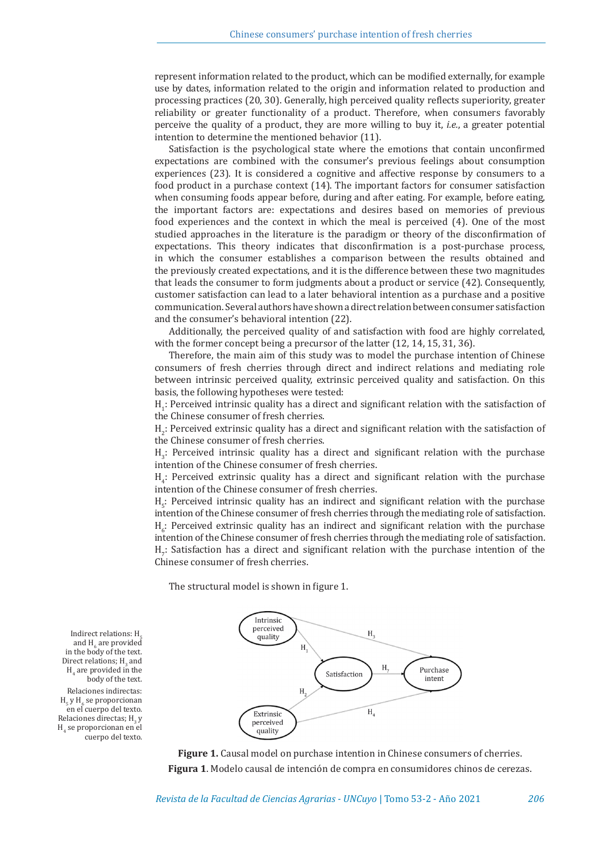represent information related to the product, which can be modified externally, for example use by dates, information related to the origin and information related to production and processing practices (20, 30). Generally, high perceived quality reflects superiority, greater reliability or greater functionality of a product. Therefore, when consumers favorably perceive the quality of a product, they are more willing to buy it, *i.e.*, a greater potential intention to determine the mentioned behavior (11).

Satisfaction is the psychological state where the emotions that contain unconfirmed expectations are combined with the consumer's previous feelings about consumption experiences (23). It is considered a cognitive and affective response by consumers to a food product in a purchase context (14). The important factors for consumer satisfaction when consuming foods appear before, during and after eating. For example, before eating, the important factors are: expectations and desires based on memories of previous food experiences and the context in which the meal is perceived (4). One of the most studied approaches in the literature is the paradigm or theory of the disconfirmation of expectations. This theory indicates that disconfirmation is a post-purchase process, in which the consumer establishes a comparison between the results obtained and the previously created expectations, and it is the difference between these two magnitudes that leads the consumer to form judgments about a product or service (42). Consequently, customer satisfaction can lead to a later behavioral intention as a purchase and a positive communication. Several authors have shown a direct relation between consumer satisfaction and the consumer's behavioral intention (22).

Additionally, the perceived quality of and satisfaction with food are highly correlated, with the former concept being a precursor of the latter (12, 14, 15, 31, 36).

Therefore, the main aim of this study was to model the purchase intention of Chinese consumers of fresh cherries through direct and indirect relations and mediating role between intrinsic perceived quality, extrinsic perceived quality and satisfaction. On this basis, the following hypotheses were tested:

 $H_1$ : Perceived intrinsic quality has a direct and significant relation with the satisfaction of the Chinese consumer of fresh cherries.

 $H_2$ : Perceived extrinsic quality has a direct and significant relation with the satisfaction of the Chinese consumer of fresh cherries.

H<sub>3</sub>: Perceived intrinsic quality has a direct and significant relation with the purchase intention of the Chinese consumer of fresh cherries.

H4 : Perceived extrinsic quality has a direct and significant relation with the purchase intention of the Chinese consumer of fresh cherries.

 $H_5$ : Perceived intrinsic quality has an indirect and significant relation with the purchase intention of the Chinese consumer of fresh cherries through the mediating role of satisfaction.  $H_6$ : Perceived extrinsic quality has an indirect and significant relation with the purchase intention of the Chinese consumer of fresh cherries through the mediating role of satisfaction. H<sub>7</sub>: Satisfaction has a direct and significant relation with the purchase intention of the Chinese consumer of fresh cherries.

The structural model is shown in figure 1.



**Figure 1.** Causal model on purchase intention in Chinese consumers of cherries. **Figura 1**. Modelo causal de intención de compra en consumidores chinos de cerezas.

Indirect relations: H. and  $H_6$  are provided in the body of the text. Direct relations;  $H_3$  and  $H_4$  are provided in the body of the text. Relaciones indirectas:  $H_5$  y  $H_6$  se proporcionan en el cuerpo del texto. Relaciones directas;  $H_3 y$  $H<sub>4</sub>$  se proporcionan en el cuerpo del texto.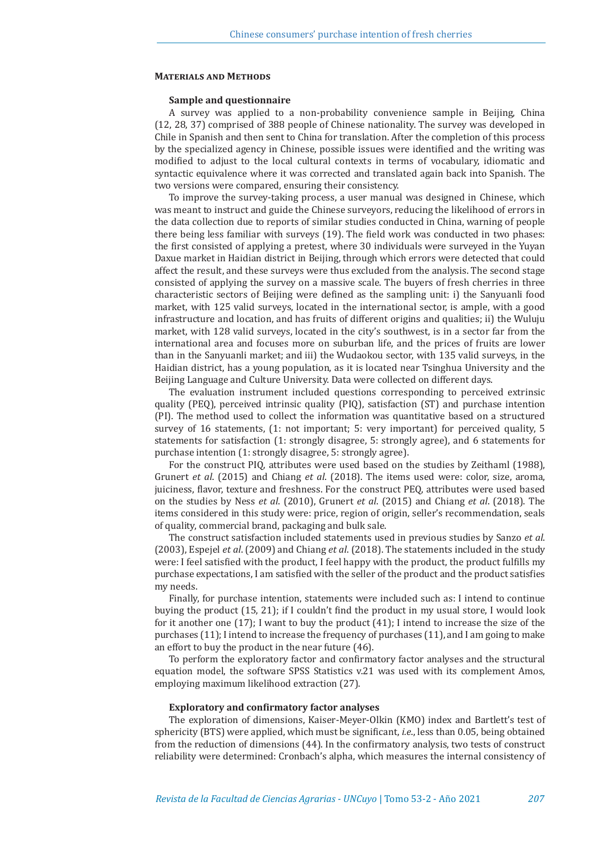## **Materials and Methods**

#### **Sample and questionnaire**

A survey was applied to a non-probability convenience sample in Beijing, China (12, 28, 37) comprised of 388 people of Chinese nationality. The survey was developed in Chile in Spanish and then sent to China for translation. After the completion of this process by the specialized agency in Chinese, possible issues were identified and the writing was modified to adjust to the local cultural contexts in terms of vocabulary, idiomatic and syntactic equivalence where it was corrected and translated again back into Spanish. The two versions were compared, ensuring their consistency.

To improve the survey-taking process, a user manual was designed in Chinese, which was meant to instruct and guide the Chinese surveyors, reducing the likelihood of errors in the data collection due to reports of similar studies conducted in China, warning of people there being less familiar with surveys (19). The field work was conducted in two phases: the first consisted of applying a pretest, where 30 individuals were surveyed in the Yuyan Daxue market in Haidian district in Beijing, through which errors were detected that could affect the result, and these surveys were thus excluded from the analysis. The second stage consisted of applying the survey on a massive scale. The buyers of fresh cherries in three characteristic sectors of Beijing were defined as the sampling unit: i) the Sanyuanli food market, with 125 valid surveys, located in the international sector, is ample, with a good infrastructure and location, and has fruits of different origins and qualities; ii) the Wuluju market, with 128 valid surveys, located in the city's southwest, is in a sector far from the international area and focuses more on suburban life, and the prices of fruits are lower than in the Sanyuanli market; and iii) the Wudaokou sector, with 135 valid surveys, in the Haidian district, has a young population, as it is located near Tsinghua University and the Beijing Language and Culture University. Data were collected on different days.

The evaluation instrument included questions corresponding to perceived extrinsic quality (PEQ), perceived intrinsic quality (PIQ), satisfaction (ST) and purchase intention (PI). The method used to collect the information was quantitative based on a structured survey of 16 statements, (1: not important; 5: very important) for perceived quality, 5 statements for satisfaction (1: strongly disagree, 5: strongly agree), and 6 statements for purchase intention (1: strongly disagree, 5: strongly agree).

For the construct PIQ, attributes were used based on the studies by Zeithaml (1988), Grunert *et al*. (2015) and Chiang *et al*. (2018). The items used were: color, size, aroma, juiciness, flavor, texture and freshness. For the construct PEQ, attributes were used based on the studies by Ness *et al*. (2010), Grunert *et al*. (2015) and Chiang *et al*. (2018). The items considered in this study were: price, region of origin, seller's recommendation, seals of quality, commercial brand, packaging and bulk sale.

The construct satisfaction included statements used in previous studies by Sanzo *et al*. (2003), Espejel *et al*. (2009) and Chiang *et al*. (2018). The statements included in the study were: I feel satisfied with the product, I feel happy with the product, the product fulfills my purchase expectations, I am satisfied with the seller of the product and the product satisfies my needs.

Finally, for purchase intention, statements were included such as: I intend to continue buying the product (15, 21); if I couldn't find the product in my usual store, I would look for it another one (17); I want to buy the product (41); I intend to increase the size of the purchases (11); I intend to increase the frequency of purchases (11), and I am going to make an effort to buy the product in the near future (46).

To perform the exploratory factor and confirmatory factor analyses and the structural equation model, the software SPSS Statistics v.21 was used with its complement Amos, employing maximum likelihood extraction (27).

#### **Exploratory and confirmatory factor analyses**

The exploration of dimensions, Kaiser-Meyer-Olkin (KMO) index and Bartlett's test of sphericity (BTS) were applied, which must be significant, *i.e*., less than 0.05, being obtained from the reduction of dimensions (44). In the confirmatory analysis, two tests of construct reliability were determined: Cronbach's alpha, which measures the internal consistency of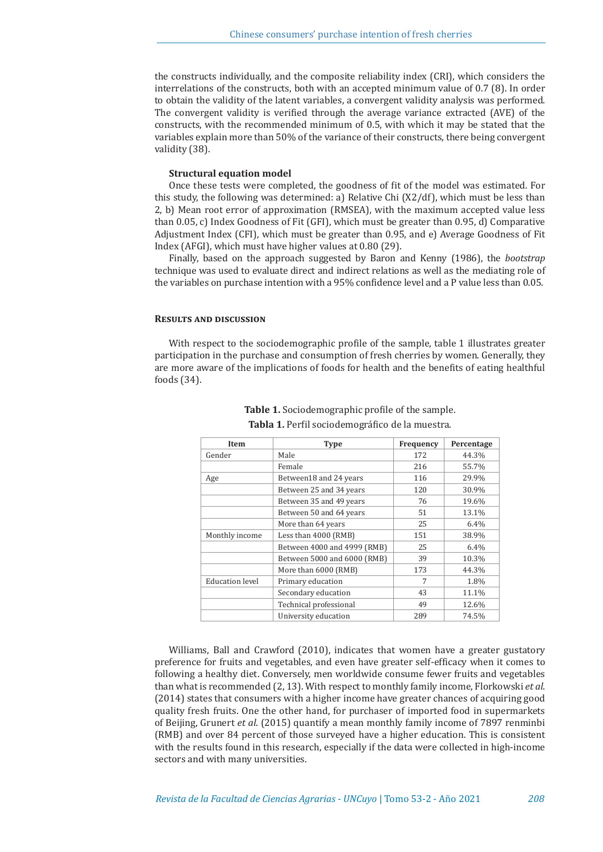the constructs individually, and the composite reliability index (CRI), which considers the interrelations of the constructs, both with an accepted minimum value of 0.7 (8). In order to obtain the validity of the latent variables, a convergent validity analysis was performed. The convergent validity is verified through the average variance extracted (AVE) of the constructs, with the recommended minimum of 0.5, with which it may be stated that the variables explain more than 50% of the variance of their constructs, there being convergent validity (38).

## **Structural equation model**

Once these tests were completed, the goodness of fit of the model was estimated. For this study, the following was determined: a) Relative Chi (X2/df), which must be less than 2, b) Mean root error of approximation (RMSEA), with the maximum accepted value less than 0.05, c) Index Goodness of Fit (GFI), which must be greater than 0.95, d) Comparative Adjustment Index (CFI), which must be greater than 0.95, and e) Average Goodness of Fit Index (AFGI), which must have higher values at 0.80 (29).

Finally, based on the approach suggested by Baron and Kenny (1986), the *bootstrap* technique was used to evaluate direct and indirect relations as well as the mediating role of the variables on purchase intention with a 95% confidence level and a P value less than 0.05.

#### **RESULTS AND DISCUSSION**

With respect to the sociodemographic profile of the sample, table 1 illustrates greater participation in the purchase and consumption of fresh cherries by women. Generally, they are more aware of the implications of foods for health and the benefits of eating healthful foods (34).

| Item            | <b>Type</b>                 | Frequency | Percentage |  |
|-----------------|-----------------------------|-----------|------------|--|
| Gender          | Male                        | 172       | 44.3%      |  |
|                 | Female                      | 216       | 55.7%      |  |
| Age             | Between18 and 24 years      | 116       | 29.9%      |  |
|                 | Between 25 and 34 years     | 120       | 30.9%      |  |
|                 | Between 35 and 49 years     | 76        | 19.6%      |  |
|                 | Between 50 and 64 years     | 51        | 13.1%      |  |
|                 | More than 64 years          | 25        | 6.4%       |  |
| Monthly income  | Less than 4000 (RMB)        | 151       | 38.9%      |  |
|                 | Between 4000 and 4999 (RMB) | 25        | 6.4%       |  |
|                 | Between 5000 and 6000 (RMB) | 39        | 10.3%      |  |
|                 | More than 6000 (RMB)        | 173       | 44.3%      |  |
| Education level | Primary education           | 7         | 1.8%       |  |
|                 | Secondary education         | 43        | 11.1%      |  |
|                 | Technical professional      | 49        | 12.6%      |  |
|                 | University education        | 289       | 74.5%      |  |

**Table 1.** Sociodemographic profile of the sample. **Tabla 1.** Perfil sociodemográfico de la muestra.

Williams, Ball and Crawford (2010), indicates that women have a greater gustatory preference for fruits and vegetables, and even have greater self-efficacy when it comes to following a healthy diet. Conversely, men worldwide consume fewer fruits and vegetables than what is recommended (2, 13). With respect to monthly family income, Florkowski *et al*. (2014) states that consumers with a higher income have greater chances of acquiring good quality fresh fruits. One the other hand, for purchaser of imported food in supermarkets of Beijing, Grunert *et al*. (2015) quantify a mean monthly family income of 7897 renminbi (RMB) and over 84 percent of those surveyed have a higher education. This is consistent with the results found in this research, especially if the data were collected in high-income sectors and with many universities.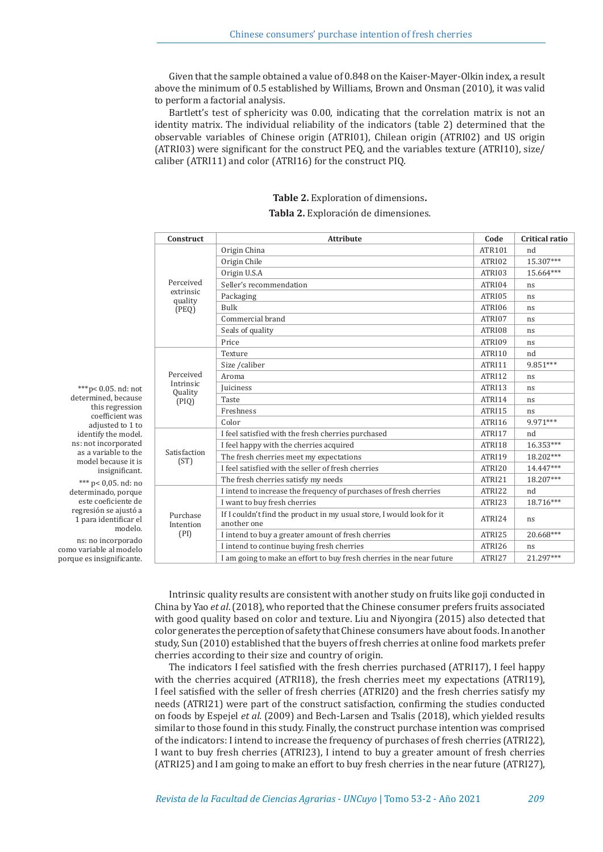Given that the sample obtained a value of 0.848 on the Kaiser-Mayer-Olkin index, a result above the minimum of 0.5 established by Williams, Brown and Onsman (2010), it was valid to perform a factorial analysis.

Bartlett's test of sphericity was 0.00, indicating that the correlation matrix is not an identity matrix. The individual reliability of the indicators (table 2) determined that the observable variables of Chinese origin (ATRI01), Chilean origin (ATRI02) and US origin (ATRI03) were significant for the construct PEQ, and the variables texture (ATRI10), size/ caliber (ATRI11) and color (ATRI16) for the construct PIQ.

## **Table 2.** Exploration of dimensions**. Tabla 2.** Exploración de dimensiones.

| Construct                         | <b>Attribute</b>                                                                     | Code   | Critical ratio |
|-----------------------------------|--------------------------------------------------------------------------------------|--------|----------------|
| Perceived<br>extrinsic<br>quality | Origin China                                                                         | ATR101 | nd             |
|                                   | Origin Chile                                                                         | ATRI02 | 15.307***      |
|                                   | Origin U.S.A                                                                         | ATRI03 | 15.664***      |
|                                   | Seller's recommendation                                                              | ATRI04 | ns             |
|                                   | Packaging                                                                            | ATRI05 | ns             |
| (PEQ)                             | <b>Bulk</b>                                                                          | ATRI06 | ns             |
|                                   | Commercial brand                                                                     | ATRI07 | ns             |
|                                   | Seals of quality                                                                     | ATRI08 | ns             |
|                                   | Price                                                                                | ATRI09 | ns             |
|                                   | Texture                                                                              | ATRI10 | nd             |
|                                   | Size / caliber                                                                       | ATRI11 | 9.851***       |
| Perceived                         | Aroma                                                                                | ATRI12 | ns             |
| Intrinsic<br>Quality              | <b>Iuiciness</b>                                                                     | ATRI13 | ns             |
| (PIQ)                             | Taste                                                                                | ATRI14 | ns             |
|                                   | Freshness                                                                            | ATRI15 | ns             |
|                                   | Color                                                                                | ATRI16 | 9.971***       |
|                                   | I feel satisfied with the fresh cherries purchased                                   | ATRI17 | nd             |
|                                   | I feel happy with the cherries acquired                                              | ATRI18 | $16.353***$    |
| Satisfaction<br>(ST)              | The fresh cherries meet my expectations                                              | ATRI19 | 18.202***      |
|                                   | I feel satisfied with the seller of fresh cherries                                   | ATRI20 | 14.447***      |
|                                   | The fresh cherries satisfy my needs                                                  | ATRI21 | 18.207***      |
|                                   | I intend to increase the frequency of purchases of fresh cherries                    | ATRI22 | nd             |
|                                   | I want to buy fresh cherries                                                         | ATRI23 | 18.716***      |
| Purchase<br>Intention             | If I couldn't find the product in my usual store, I would look for it<br>another one | ATRI24 | ns             |
| (PI)                              | I intend to buy a greater amount of fresh cherries                                   | ATRI25 | 20.668***      |
|                                   | I intend to continue buying fresh cherries                                           | ATRI26 | ns             |
|                                   | I am going to make an effort to buy fresh cherries in the near future                | ATRI27 | 21.297***      |

\*\*\*p< 0.05. nd: not determined, because this regression coefficient was adjusted to 1 to identify the model. ns: not incorporated as a variable to the model because it is insignificant. \*\*\* p< 0,05. nd: no determinado, porque este coeficiente de regresión se ajustó a 1 para identificar el modelo.

ns: no incorporado como variable al modelo porque es insignificante.

> Intrinsic quality results are consistent with another study on fruits like goji conducted in China by Yao *et al*. (2018), who reported that the Chinese consumer prefers fruits associated with good quality based on color and texture. Liu and Niyongira (2015) also detected that color generates the perception of safety that Chinese consumers have about foods. In another study, Sun (2010) established that the buyers of fresh cherries at online food markets prefer cherries according to their size and country of origin.

> The indicators I feel satisfied with the fresh cherries purchased (ATRI17), I feel happy with the cherries acquired (ATRI18), the fresh cherries meet my expectations (ATRI19), I feel satisfied with the seller of fresh cherries (ATRI20) and the fresh cherries satisfy my needs (ATRI21) were part of the construct satisfaction, confirming the studies conducted on foods by Espejel *et al.* (2009) and Bech-Larsen and Tsalis (2018), which yielded results similar to those found in this study. Finally, the construct purchase intention was comprised of the indicators: I intend to increase the frequency of purchases of fresh cherries (ATRI22), I want to buy fresh cherries (ATRI23), I intend to buy a greater amount of fresh cherries (ATRI25) and I am going to make an effort to buy fresh cherries in the near future (ATRI27),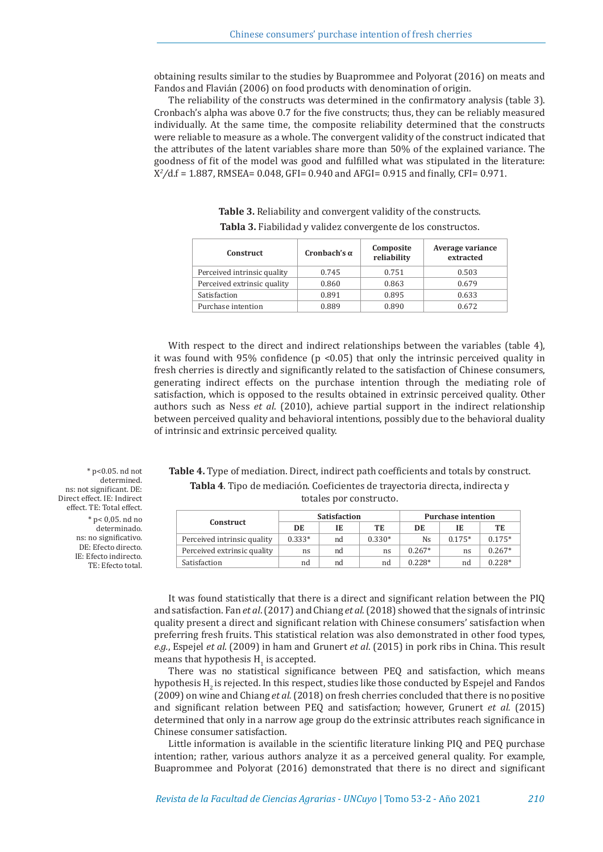obtaining results similar to the studies by Buaprommee and Polyorat (2016) on meats and Fandos and Flavián (2006) on food products with denomination of origin.

The reliability of the constructs was determined in the confirmatory analysis (table 3). Cronbach's alpha was above 0.7 for the five constructs; thus, they can be reliably measured individually. At the same time, the composite reliability determined that the constructs were reliable to measure as a whole. The convergent validity of the construct indicated that the attributes of the latent variables share more than 50% of the explained variance. The goodness of fit of the model was good and fulfilled what was stipulated in the literature: X*2 /*d.f = 1.887, RMSEA= 0.048, GFI= 0.940 and AFGI= 0.915 and finally, CFI= 0.971.

| <b>Construct</b>            | Cronbach's $\alpha$ | Composite<br>reliability | Average variance<br>extracted |  |
|-----------------------------|---------------------|--------------------------|-------------------------------|--|
| Perceived intrinsic quality | 0.745               | 0.751                    | 0.503                         |  |
| Perceived extrinsic quality | 0.860               | 0.863                    | 0.679                         |  |
| Satisfaction                | 0.891               | 0.895                    | 0.633                         |  |
| Purchase intention          | 0.889               | 0.890                    | 0.672                         |  |

**Table 3.** Reliability and convergent validity of the constructs. **Tabla 3.** Fiabilidad y validez convergente de los constructos.

With respect to the direct and indirect relationships between the variables (table 4), it was found with 95% confidence  $(p \le 0.05)$  that only the intrinsic perceived quality in fresh cherries is directly and significantly related to the satisfaction of Chinese consumers, generating indirect effects on the purchase intention through the mediating role of satisfaction, which is opposed to the results obtained in extrinsic perceived quality. Other authors such as Ness *et al*. (2010), achieve partial support in the indirect relationship between perceived quality and behavioral intentions, possibly due to the behavioral duality of intrinsic and extrinsic perceived quality.

**Table 4.** Type of mediation. Direct, indirect path coefficients and totals by construct. **Tabla 4**. Tipo de mediación. Coeficientes de trayectoria directa, indirecta y totales por constructo.

|                             | <b>Satisfaction</b> |    | <b>Purchase intention</b> |          |          |          |
|-----------------------------|---------------------|----|---------------------------|----------|----------|----------|
| <b>Construct</b>            | DE                  | IE | TE                        | DE       | IE       | TE       |
| Perceived intrinsic quality | $0.333*$            | nd | $0.330*$                  | Ns.      | $0.175*$ | $0.175*$ |
| Perceived extrinsic quality | ns                  | nd | ns                        | $0.267*$ | ns       | $0.267*$ |
| Satisfaction                | nd                  | nd | nd                        | $0.228*$ | nd       | $0.228*$ |

\* p<0.05. nd not determined. ns: not significant. DE: Direct effect. IE: Indirect effect. TE: Total effect. \* p< 0,05. nd no determinado. ns: no significativo. DE: Efecto directo. IE: Efecto indirecto. TE: Efecto total.

> It was found statistically that there is a direct and significant relation between the PIQ and satisfaction. Fan *et al*. (2017) and Chiang *et al*. (2018) showed that the signals of intrinsic quality present a direct and significant relation with Chinese consumers' satisfaction when preferring fresh fruits. This statistical relation was also demonstrated in other food types, *e.g.*, Espejel *et al*. (2009) in ham and Grunert *et al*. (2015) in pork ribs in China. This result means that hypothesis  $H_1$  is accepted.

> There was no statistical significance between PEQ and satisfaction, which means hypothesis  $H<sub>2</sub>$  is rejected. In this respect, studies like those conducted by Espejel and Fandos (2009) on wine and Chiang *et al.* (2018) on fresh cherries concluded that there is no positive and significant relation between PEQ and satisfaction; however, Grunert *et al.* (2015) determined that only in a narrow age group do the extrinsic attributes reach significance in Chinese consumer satisfaction.

> Little information is available in the scientific literature linking PIQ and PEQ purchase intention; rather, various authors analyze it as a perceived general quality. For example, Buaprommee and Polyorat (2016) demonstrated that there is no direct and significant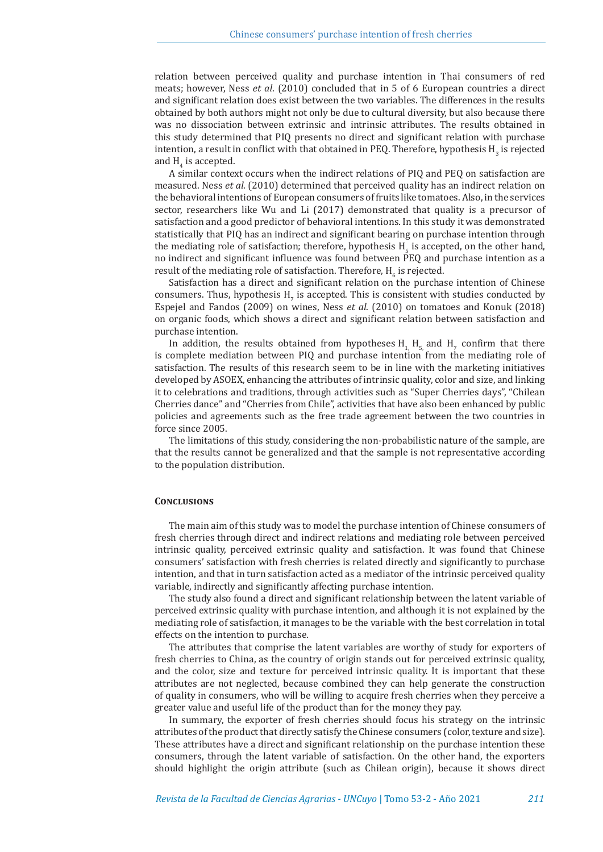relation between perceived quality and purchase intention in Thai consumers of red meats; however, Ness *et al*. (2010) concluded that in 5 of 6 European countries a direct and significant relation does exist between the two variables. The differences in the results obtained by both authors might not only be due to cultural diversity, but also because there was no dissociation between extrinsic and intrinsic attributes. The results obtained in this study determined that PIQ presents no direct and significant relation with purchase intention, a result in conflict with that obtained in PEQ. Therefore, hypothesis  $H_3$  is rejected and  $H_4$  is accepted.

A similar context occurs when the indirect relations of PIQ and PEQ on satisfaction are measured. Ness *et al*. (2010) determined that perceived quality has an indirect relation on the behavioral intentions of European consumers of fruits like tomatoes. Also, in the services sector, researchers like Wu and Li (2017) demonstrated that quality is a precursor of satisfaction and a good predictor of behavioral intentions. In this study it was demonstrated statistically that PIQ has an indirect and significant bearing on purchase intention through the mediating role of satisfaction; therefore, hypothesis  $H_5$  is accepted, on the other hand, no indirect and significant influence was found between PEQ and purchase intention as a result of the mediating role of satisfaction. Therefore,  $H_6$  is rejected.

Satisfaction has a direct and significant relation on the purchase intention of Chinese consumers. Thus, hypothesis  $H_7$  is accepted. This is consistent with studies conducted by Espejel and Fandos (2009) on wines, Ness *et al*. (2010) on tomatoes and Konuk (2018) on organic foods, which shows a direct and significant relation between satisfaction and purchase intention.

In addition, the results obtained from hypotheses  $H_1$ ,  $H_5$  and  $H_7$  confirm that there is complete mediation between PIQ and purchase intention from the mediating role of satisfaction. The results of this research seem to be in line with the marketing initiatives developed by ASOEX, enhancing the attributes of intrinsic quality, color and size, and linking it to celebrations and traditions, through activities such as "Super Cherries days", "Chilean Cherries dance" and "Cherries from Chile", activities that have also been enhanced by public policies and agreements such as the free trade agreement between the two countries in force since 2005.

The limitations of this study, considering the non-probabilistic nature of the sample, are that the results cannot be generalized and that the sample is not representative according to the population distribution.

#### **CONCLUSIONS**

The main aim of this study was to model the purchase intention of Chinese consumers of fresh cherries through direct and indirect relations and mediating role between perceived intrinsic quality, perceived extrinsic quality and satisfaction. It was found that Chinese consumers' satisfaction with fresh cherries is related directly and significantly to purchase intention, and that in turn satisfaction acted as a mediator of the intrinsic perceived quality variable, indirectly and significantly affecting purchase intention.

The study also found a direct and significant relationship between the latent variable of perceived extrinsic quality with purchase intention, and although it is not explained by the mediating role of satisfaction, it manages to be the variable with the best correlation in total effects on the intention to purchase.

The attributes that comprise the latent variables are worthy of study for exporters of fresh cherries to China, as the country of origin stands out for perceived extrinsic quality, and the color, size and texture for perceived intrinsic quality. It is important that these attributes are not neglected, because combined they can help generate the construction of quality in consumers, who will be willing to acquire fresh cherries when they perceive a greater value and useful life of the product than for the money they pay.

In summary, the exporter of fresh cherries should focus his strategy on the intrinsic attributes of the product that directly satisfy the Chinese consumers (color, texture and size). These attributes have a direct and significant relationship on the purchase intention these consumers, through the latent variable of satisfaction. On the other hand, the exporters should highlight the origin attribute (such as Chilean origin), because it shows direct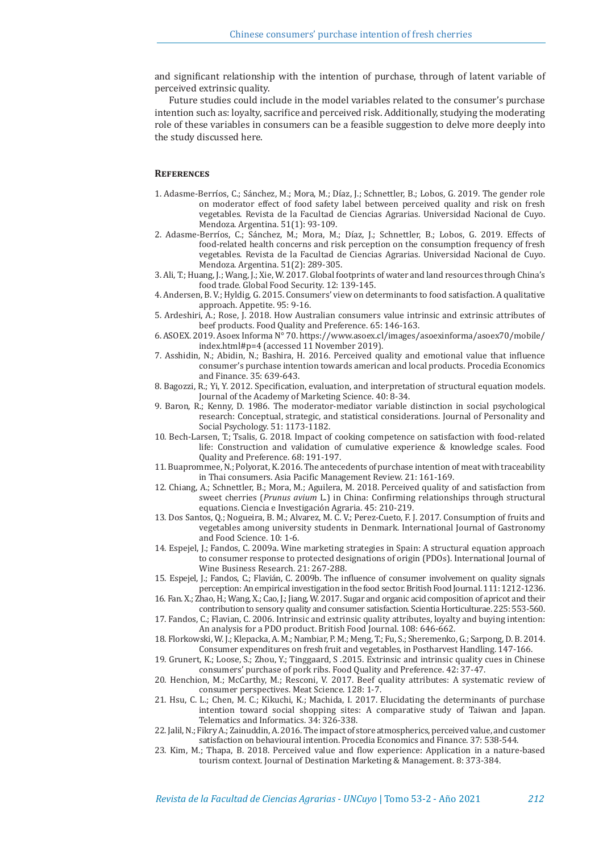and significant relationship with the intention of purchase, through of latent variable of perceived extrinsic quality.

Future studies could include in the model variables related to the consumer's purchase intention such as: loyalty, sacrifice and perceived risk. Additionally, studying the moderating role of these variables in consumers can be a feasible suggestion to delve more deeply into the study discussed here.

## **References**

- 1. Adasme-Berríos, C.; Sánchez, M.; Mora, M.; Díaz, J.; Schnettler, B.; Lobos, G. 2019. The gender role on moderator effect of food safety label between perceived quality and risk on fresh vegetables. Revista de la Facultad de Ciencias Agrarias. Universidad Nacional de Cuyo. Mendoza. Argentina. 51(1): 93-109.
- 2. Adasme-Berríos, C.; Sánchez, M.; Mora, M.; Díaz, J.; Schnettler, B.; Lobos, G. 2019. Effects of food-related health concerns and risk perception on the consumption frequency of fresh vegetables. Revista de la Facultad de Ciencias Agrarias. Universidad Nacional de Cuyo. Mendoza. Argentina. 51(2): 289-305.
- 3. Ali, T.; Huang, J.; Wang, J.; Xie, W. 2017. Global footprints of water and land resources through China's food trade. Global Food Security. 12: 139-145.
- 4. Andersen, B. V.; Hyldig, G. 2015. Consumers' view on determinants to food satisfaction. A qualitative approach. Appetite. 95: 9-16.
- 5. Ardeshiri, A.; Rose, J. 2018. How Australian consumers value intrinsic and extrinsic attributes of beef products. Food Quality and Preference. 65: 146-163.
- 6. ASOEX. 2019. Asoex Informa N° 70. https://www.asoex.cl/images/asoexinforma/asoex70/mobile/ index.html#p=4 (accessed 11 November 2019).
- 7. Asshidin, N.; Abidin, N.; Bashira, H. 2016. Perceived quality and emotional value that influence consumer's purchase intention towards american and local products. Procedia Economics and Finance. 35: 639-643.
- 8. Bagozzi, R.; Yi, Y. 2012. Specification, evaluation, and interpretation of structural equation models. Journal of the Academy of Marketing Science. 40: 8-34.
- 9. Baron, R.; Kenny, D. 1986. The moderator-mediator variable distinction in social psychological research: Conceptual, strategic, and statistical considerations. Journal of Personality and Social Psychology. 51: 1173-1182.
- 10. Bech-Larsen, T.; Tsalis, G. 2018. Impact of cooking competence on satisfaction with food-related life: Construction and validation of cumulative experience & knowledge scales. Food Quality and Preference. 68: 191-197.
- 11. Buaprommee, N.; Polyorat, K. 2016. The antecedents of purchase intention of meat with traceability in Thai consumers. Asia Pacific Management Review. 21: 161-169.
- 12. Chiang, A.; Schnettler, B.; Mora, M.; Aguilera, M. 2018. Perceived quality of and satisfaction from sweet cherries (*Prunus avium* L.) in China: Confirming relationships through structural equations. Ciencia e Investigación Agraria. 45: 210-219.
- 13. Dos Santos, Q.; Nogueira, B. M.; Alvarez, M. C. V.; Perez-Cueto, F. J. 2017. Consumption of fruits and vegetables among university students in Denmark. International Journal of Gastronomy and Food Science. 10: 1-6.
- 14. Espejel, J.; Fandos, C. 2009a. Wine marketing strategies in Spain: A structural equation approach to consumer response to protected designations of origin (PDOs). International Journal of Wine Business Research. 21: 267-288.
- 15. Espejel, J.; Fandos, C.; Flavián, C. 2009b. The influence of consumer involvement on quality signals perception: An empirical investigation in the food sector. British Food Journal. 111: 1212-1236.
- 16. Fan. X.; Zhao, H.; Wang, X.; Cao, J.; Jiang, W. 2017. Sugar and organic acid composition of apricot and their contribution to sensory quality and consumer satisfaction. Scientia Horticulturae. 225: 553-560.
- 17. Fandos, C.; Flavian, C. 2006. Intrinsic and extrinsic quality attributes, loyalty and buying intention: An analysis for a PDO product. British Food Journal. 108: 646-662.
- 18. Florkowski, W. J.; Klepacka, A. M.; Nambiar, P. M.; Meng, T.; Fu, S.; Sheremenko, G.; Sarpong, D. B. 2014. Consumer expenditures on fresh fruit and vegetables, in Postharvest Handling. 147-166.
- 19. Grunert, K.; Loose, S.; Zhou, Y.; Tinggaard, S .2015. Extrinsic and intrinsic quality cues in Chinese consumers' purchase of pork ribs. Food Quality and Preference. 42: 37-47.
- 20. Henchion, M.; McCarthy, M.; Resconi, V. 2017. Beef quality attributes: A systematic review of consumer perspectives. Meat Science. 128: 1-7.
- 21. Hsu, C. L.; Chen, M. C.; Kikuchi, K.; Machida, I. 2017. Elucidating the determinants of purchase intention toward social shopping sites: A comparative study of Taiwan and Japan. Telematics and Informatics. 34: 326-338.
- 22. Jalil, N.; Fikry A.; Zainuddin, A. 2016. The impact of store atmospherics, perceived value, and customer satisfaction on behavioural intention. Procedia Economics and Finance. 37: 538-544.
- 23. Kim, M.; Thapa, B. 2018. Perceived value and flow experience: Application in a nature-based tourism context. Journal of Destination Marketing & Management. 8: 373-384.